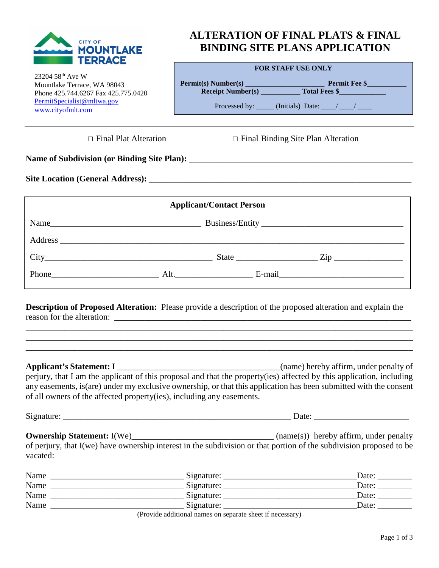

## **ALTERATION OF FINAL PLATS & FINAL BINDING SITE PLANS APPLICATION**

**FOR STAFF USE ONLY**

| $23204.58^{th}$ Ave W               |
|-------------------------------------|
| Mountlake Terrace, WA 98043         |
| Phone 425.744.6267 Fax 425.775.0420 |
| PermitSpecialist@mltwa.gov          |
| www.cityofmlt.com                   |

| IWA DIA WEWA UNION                                     |                                              |
|--------------------------------------------------------|----------------------------------------------|
| <b>Permit(s) Number(s)</b><br><b>Receipt Number(s)</b> | <b>Permit Fee \$</b><br><b>Total Fees \$</b> |
|                                                        | Processed by: (Initials) Date: / /           |

□ Final Plat Alteration □ Final Binding Site Plan Alteration

Name of Subdivision (or Binding Site Plan):

Site Location (General Address):

| <b>Applicant/Contact Person</b> |                          |  |  |
|---------------------------------|--------------------------|--|--|
|                                 |                          |  |  |
|                                 |                          |  |  |
|                                 | State <u>Zip</u>         |  |  |
|                                 | Phone Alt. E-mail E-mail |  |  |

**Description of Proposed Alteration:** Please provide a description of the proposed alteration and explain the reason for the alteration: \_\_\_\_\_\_\_\_\_\_\_\_\_\_\_\_\_\_\_\_\_\_\_\_\_\_\_\_\_\_\_\_\_\_\_\_\_\_\_\_\_\_\_\_\_\_\_\_\_\_\_\_\_\_\_\_\_\_\_\_\_\_\_\_\_\_\_\_\_

\_\_\_\_\_\_\_\_\_\_\_\_\_\_\_\_\_\_\_\_\_\_\_\_\_\_\_\_\_\_\_\_\_\_\_\_\_\_\_\_\_\_\_\_\_\_\_\_\_\_\_\_\_\_\_\_\_\_\_\_\_\_\_\_\_\_\_\_\_\_\_\_\_\_\_\_\_\_\_\_\_\_\_\_\_\_\_\_\_\_ \_\_\_\_\_\_\_\_\_\_\_\_\_\_\_\_\_\_\_\_\_\_\_\_\_\_\_\_\_\_\_\_\_\_\_\_\_\_\_\_\_\_\_\_\_\_\_\_\_\_\_\_\_\_\_\_\_\_\_\_\_\_\_\_\_\_\_\_\_\_\_\_\_\_\_\_\_\_\_\_\_\_\_\_\_\_\_\_\_\_ \_\_\_\_\_\_\_\_\_\_\_\_\_\_\_\_\_\_\_\_\_\_\_\_\_\_\_\_\_\_\_\_\_\_\_\_\_\_\_\_\_\_\_\_\_\_\_\_\_\_\_\_\_\_\_\_\_\_\_\_\_\_\_\_\_\_\_\_\_\_\_\_\_\_\_\_\_\_\_\_\_\_\_\_\_\_\_\_\_\_

**Applicant's Statement:** I \_\_\_\_\_\_\_\_\_\_\_\_\_\_\_\_\_\_\_\_\_\_\_\_\_\_\_\_\_\_\_\_\_\_\_\_\_\_(name) hereby affirm, under penalty of perjury, that I am the applicant of this proposal and that the property(ies) affected by this application, including any easements, is(are) under my exclusive ownership, or that this application has been submitted with the consent of all owners of the affected property(ies), including any easements.

Signature: \_\_\_\_\_\_\_\_\_\_\_\_\_\_\_\_\_\_\_\_\_\_\_\_\_\_\_\_\_\_\_\_\_\_\_\_\_\_\_\_\_\_\_\_\_\_\_\_\_\_\_\_\_ Date: \_\_\_\_\_\_\_\_\_\_\_\_\_\_\_\_\_\_\_\_\_\_

**Ownership Statement:** I(We)\_\_\_\_\_\_\_\_\_\_\_\_\_\_\_\_\_\_\_\_\_\_\_\_\_\_\_\_\_\_\_\_\_ (name(s)) hereby affirm, under penalty of perjury, that I(we) have ownership interest in the subdivision or that portion of the subdivision proposed to be vacated:

| Name | Signature:    | Date: |
|------|---------------|-------|
| Name | Signature:    | Date: |
| Name | Signature:    | Date: |
| Name | Signature:    | Date: |
|      | $\sim$ $\sim$ |       |

(Provide additional names on separate sheet if necessary)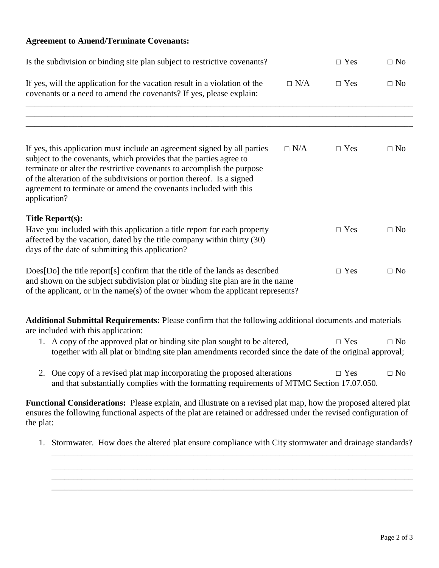## **Agreement to Amend/Terminate Covenants:**

| Is the subdivision or binding site plan subject to restrictive covenants?                                                                                                                                                                                                                                                                                                             |            | $\Box$ Yes | $\Box$ No |
|---------------------------------------------------------------------------------------------------------------------------------------------------------------------------------------------------------------------------------------------------------------------------------------------------------------------------------------------------------------------------------------|------------|------------|-----------|
| If yes, will the application for the vacation result in a violation of the<br>covenants or a need to amend the covenants? If yes, please explain:                                                                                                                                                                                                                                     | $\Box$ N/A | $\Box$ Yes | $\Box$ No |
|                                                                                                                                                                                                                                                                                                                                                                                       |            |            |           |
|                                                                                                                                                                                                                                                                                                                                                                                       |            |            |           |
| If yes, this application must include an agreement signed by all parties<br>subject to the covenants, which provides that the parties agree to<br>terminate or alter the restrictive covenants to accomplish the purpose<br>of the alteration of the subdivisions or portion thereof. Is a signed<br>agreement to terminate or amend the covenants included with this<br>application? | $\Box$ N/A | $\Box$ Yes | $\Box$ No |
| <b>Title Report(s):</b>                                                                                                                                                                                                                                                                                                                                                               |            |            |           |
| Have you included with this application a title report for each property<br>affected by the vacation, dated by the title company within thirty (30)<br>days of the date of submitting this application?                                                                                                                                                                               |            | $\Box$ Yes | $\Box$ No |
| Does[Do] the title report[s] confirm that the title of the lands as described<br>and shown on the subject subdivision plat or binding site plan are in the name<br>of the applicant, or in the name(s) of the owner whom the applicant represents?                                                                                                                                    |            | $\Box$ Yes | $\Box$ No |
| Additional Submittal Requirements: Please confirm that the following additional documents and materials<br>are included with this application:                                                                                                                                                                                                                                        |            |            |           |
| 1. A copy of the approved plat or binding site plan sought to be altered,<br>together with all plat or binding site plan amendments recorded since the date of the original approval;                                                                                                                                                                                                 |            | $\Box$ Yes | $\Box$ No |
| 2. One copy of a revised plat map incorporating the proposed alterations<br>and that substantially complies with the formatting requirements of MTMC Section 17.07.050.                                                                                                                                                                                                               |            | $\Box$ Yes | $\Box$ No |
| Functional Considerations: Please explain, and illustrate on a revised plat map, how the proposed altered plat<br>ensures the following functional aspects of the plat are retained or addressed under the revised configuration of<br>the plat:                                                                                                                                      |            |            |           |

1. Stormwater. How does the altered plat ensure compliance with City stormwater and drainage standards?

\_\_\_\_\_\_\_\_\_\_\_\_\_\_\_\_\_\_\_\_\_\_\_\_\_\_\_\_\_\_\_\_\_\_\_\_\_\_\_\_\_\_\_\_\_\_\_\_\_\_\_\_\_\_\_\_\_\_\_\_\_\_\_\_\_\_\_\_\_\_\_\_\_\_\_\_\_\_\_\_\_\_\_\_ \_\_\_\_\_\_\_\_\_\_\_\_\_\_\_\_\_\_\_\_\_\_\_\_\_\_\_\_\_\_\_\_\_\_\_\_\_\_\_\_\_\_\_\_\_\_\_\_\_\_\_\_\_\_\_\_\_\_\_\_\_\_\_\_\_\_\_\_\_\_\_\_\_\_\_\_\_\_\_\_\_\_\_\_

\_\_\_\_\_\_\_\_\_\_\_\_\_\_\_\_\_\_\_\_\_\_\_\_\_\_\_\_\_\_\_\_\_\_\_\_\_\_\_\_\_\_\_\_\_\_\_\_\_\_\_\_\_\_\_\_\_\_\_\_\_\_\_\_\_\_\_\_\_\_\_\_\_\_\_\_\_\_\_\_\_\_\_\_